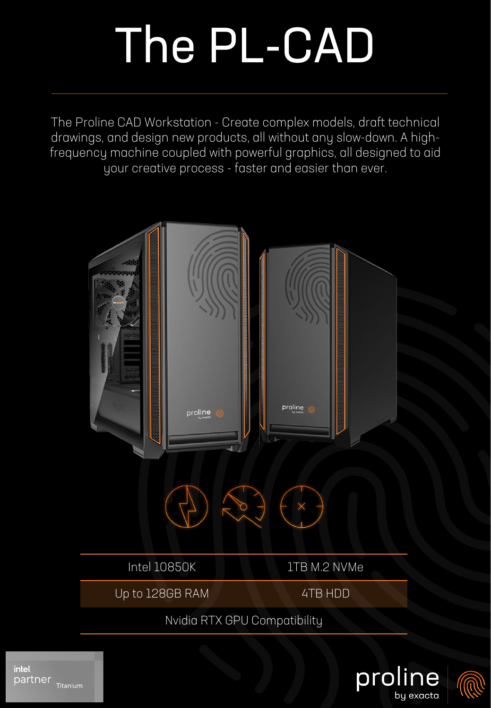## The PL-CAD

The Proline CAD Workstation - Create complex models, draft technical drawings, and design new products, all without any slow-down. A highfrequency machine coupled with powerful graphics, all designed to aid your creative process - faster and easier than ever.